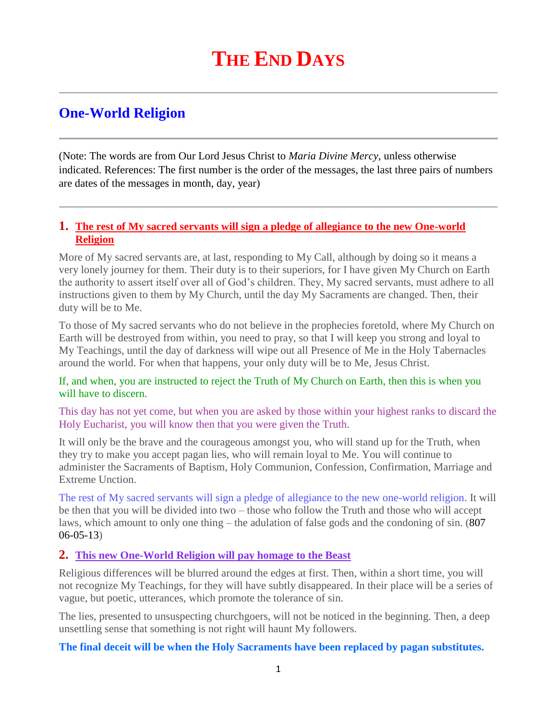# **One-World Religion**

(Note: The words are from Our Lord Jesus Christ to *Maria Divine Mercy*, unless otherwise indicated. References: The first number is the order of the messages, the last three pairs of numbers are dates of the messages in month, day, year)

### **1. [The rest of My sacred servants will sign a pledge of allegiance to the new One-world](http://www.thewarningsecondcoming.com/the-rest-of-my-sacred-servants-will-sign-a-pledge-of-allegiance-to-the-new-one-world-religion/)  [Religion](http://www.thewarningsecondcoming.com/the-rest-of-my-sacred-servants-will-sign-a-pledge-of-allegiance-to-the-new-one-world-religion/)**

More of My sacred servants are, at last, responding to My Call, although by doing so it means a very lonely journey for them. Their duty is to their superiors, for I have given My Church on Earth the authority to assert itself over all of God's children. They, My sacred servants, must adhere to all instructions given to them by My Church, until the day My Sacraments are changed. Then, their duty will be to Me.

To those of My sacred servants who do not believe in the prophecies foretold, where My Church on Earth will be destroyed from within, you need to pray, so that I will keep you strong and loyal to My Teachings, until the day of darkness will wipe out all Presence of Me in the Holy Tabernacles around the world. For when that happens, your only duty will be to Me, Jesus Christ.

#### If, and when, you are instructed to reject the Truth of My Church on Earth, then this is when you will have to discern.

This day has not yet come, but when you are asked by those within your highest ranks to discard the Holy Eucharist, you will know then that you were given the Truth.

It will only be the brave and the courageous amongst you, who will stand up for the Truth, when they try to make you accept pagan lies, who will remain loyal to Me. You will continue to administer the Sacraments of Baptism, Holy Communion, Confession, Confirmation, Marriage and Extreme Unction.

The rest of My sacred servants will sign a pledge of allegiance to the new one-world religion. It will be then that you will be divided into two – those who follow the Truth and those who will accept laws, which amount to only one thing – the adulation of false gods and the condoning of sin. (807 06-05-13)

#### **2. [This new One-World Religion will pay homage to the Beast](http://www.thewarningsecondcoming.com/this-new-one-world-religion-will-pay-homage-to-the-beast/)**

Religious differences will be blurred around the edges at first. Then, within a short time, you will not recognize My Teachings, for they will have subtly disappeared. In their place will be a series of vague, but poetic, utterances, which promote the tolerance of sin.

The lies, presented to unsuspecting churchgoers, will not be noticed in the beginning. Then, a deep unsettling sense that something is not right will haunt My followers.

**The final deceit will be when the Holy Sacraments have been replaced by pagan substitutes.**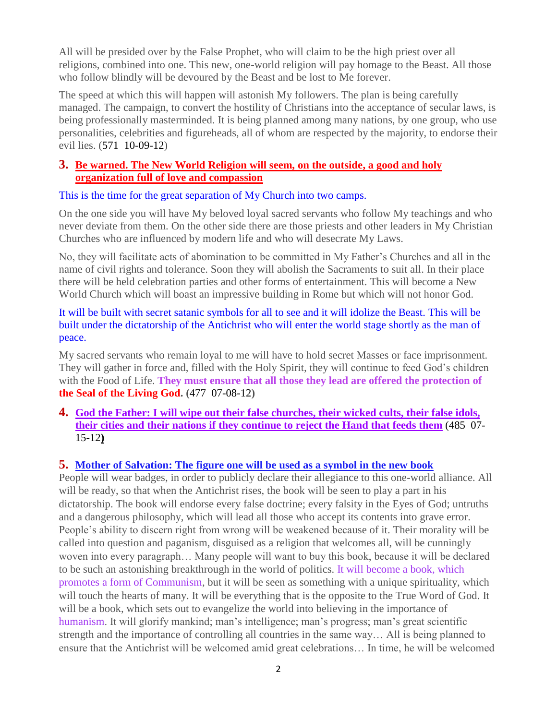All will be presided over by the False Prophet, who will claim to be the high priest over all religions, combined into one. This new, one-world religion will pay homage to the Beast. All those who follow blindly will be devoured by the Beast and be lost to Me forever.

The speed at which this will happen will astonish My followers. The plan is being carefully managed. The campaign, to convert the hostility of Christians into the acceptance of secular laws, is being professionally masterminded. It is being planned among many nations, by one group, who use personalities, celebrities and figureheads, all of whom are respected by the majority, to endorse their evil lies. (571 10-09-12)

#### **3. [Be warned. The New World Religion will seem, on the outside,](http://www.thewarningsecondcoming.com/be-warned-the-new-world-religion-will-seem-on-the-outside-a-good-and-holy-organisation-full-of-love-and-compassion/) a good and holy [organization full of love and compassion](http://www.thewarningsecondcoming.com/be-warned-the-new-world-religion-will-seem-on-the-outside-a-good-and-holy-organisation-full-of-love-and-compassion/)**

This is the time for the great separation of My Church into two camps.

On the one side you will have My beloved loyal sacred servants who follow My teachings and who never deviate from them. On the other side there are those priests and other leaders in My Christian Churches who are influenced by modern life and who will desecrate My Laws.

No, they will facilitate acts of abomination to be committed in My Father's Churches and all in the name of civil rights and tolerance. Soon they will abolish the Sacraments to suit all. In their place there will be held celebration parties and other forms of entertainment. This will become a New World Church which will boast an impressive building in Rome but which will not honor God.

It will be built with secret satanic symbols for all to see and it will idolize the Beast. This will be built under the dictatorship of the Antichrist who will enter the world stage shortly as the man of peace.

My sacred servants who remain loyal to me will have to hold secret Masses or face imprisonment. They will gather in force and, filled with the Holy Spirit, they will continue to feed God's children with the Food of Life. **They must ensure that all those they lead are offered the protection of the Seal of the Living God. (**477 07-08-12**)**

**4. [God the Father: I will wipe out their false churches, their wicked cults, their false idols,](http://www.thewarningsecondcoming.com/god-the-father-i-will-wipe-out-their-false-churches-their-wicked-cults-their-false-idols-their-cities-and-their-nations/)  [their cities and their nations](http://www.thewarningsecondcoming.com/god-the-father-i-will-wipe-out-their-false-churches-their-wicked-cults-their-false-idols-their-cities-and-their-nations/) if they continue to reject the Hand that feeds them** (485 07- 15-12**)**

#### **5. [Mother of Salvation: The figure one will be used as a symbol in the new book](http://www.thewarningsecondcoming.com/mother-of-salvation-the-figure-one-will-be-used-as-a-symbol-in-the-new-book/)**

People will wear badges, in order to publicly declare their allegiance to this one-world alliance. All will be ready, so that when the Antichrist rises, the book will be seen to play a part in his dictatorship. The book will endorse every false doctrine; every falsity in the Eyes of God; untruths and a dangerous philosophy, which will lead all those who accept its contents into grave error. People's ability to discern right from wrong will be weakened because of it. Their morality will be called into question and paganism, disguised as a religion that welcomes all, will be cunningly woven into every paragraph… Many people will want to buy this book, because it will be declared to be such an astonishing breakthrough in the world of politics. It will become a book, which promotes a form of Communism, but it will be seen as something with a unique spirituality, which will touch the hearts of many. It will be everything that is the opposite to the True Word of God. It will be a book, which sets out to evangelize the world into believing in the importance of humanism. It will glorify mankind; man's intelligence; man's progress; man's great scientific strength and the importance of controlling all countries in the same way… All is being planned to ensure that the Antichrist will be welcomed amid great celebrations… In time, he will be welcomed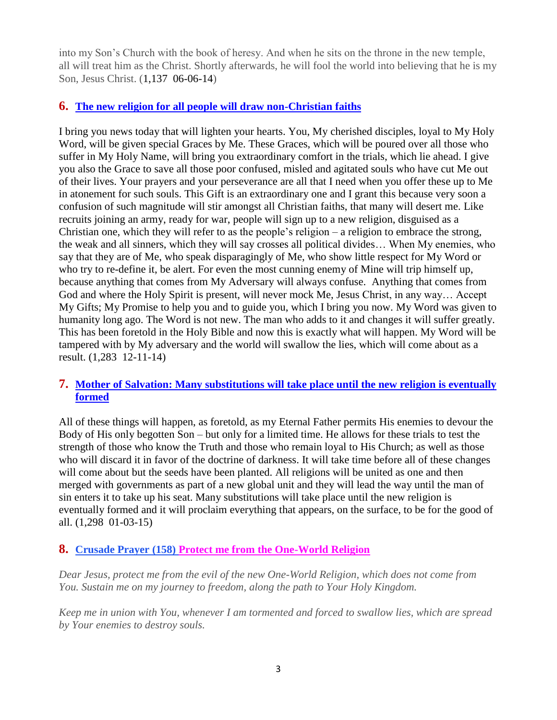into my Son's Church with the book of heresy. And when he sits on the throne in the new temple, all will treat him as the Christ. Shortly afterwards, he will fool the world into believing that he is my Son, Jesus Christ. (1,137 06-06-14)

## **6. [The new religion for all people will draw non-Christian faiths](http://www.thewarningsecondcoming.com/the-new-religion-for-all-people-will-draw-non-christian-faiths/)**

I bring you news today that will lighten your hearts. You, My cherished disciples, loyal to My Holy Word, will be given special Graces by Me. These Graces, which will be poured over all those who suffer in My Holy Name, will bring you extraordinary comfort in the trials, which lie ahead. I give you also the Grace to save all those poor confused, misled and agitated souls who have cut Me out of their lives. Your prayers and your perseverance are all that I need when you offer these up to Me in atonement for such souls. This Gift is an extraordinary one and I grant this because very soon a confusion of such magnitude will stir amongst all Christian faiths, that many will desert me. Like recruits joining an army, ready for war, people will sign up to a new religion, disguised as a Christian one, which they will refer to as the people's religion – a religion to embrace the strong, the weak and all sinners, which they will say crosses all political divides… When My enemies, who say that they are of Me, who speak disparagingly of Me, who show little respect for My Word or who try to re-define it, be alert. For even the most cunning enemy of Mine will trip himself up, because anything that comes from My Adversary will always confuse. Anything that comes from God and where the Holy Spirit is present, will never mock Me, Jesus Christ, in any way… Accept My Gifts; My Promise to help you and to guide you, which I bring you now. My Word was given to humanity long ago. The Word is not new. The man who adds to it and changes it will suffer greatly. This has been foretold in the Holy Bible and now this is exactly what will happen. My Word will be tampered with by My adversary and the world will swallow the lies, which will come about as a result. (1,283 12-11-14)

## **7. Mother of Salvation: Many substitutions will take place until the new religion is eventually formed**

All of these things will happen, as foretold, as my Eternal Father permits His enemies to devour the Body of His only begotten Son – but only for a limited time. He allows for these trials to test the strength of those who know the Truth and those who remain loyal to His Church; as well as those who will discard it in favor of the doctrine of darkness. It will take time before all of these changes will come about but the seeds have been planted. All religions will be united as one and then merged with governments as part of a new global unit and they will lead the way until the man of sin enters it to take up his seat. Many substitutions will take place until the new religion is eventually formed and it will proclaim everything that appears, on the surface, to be for the good of all. (1,298 01-03-15)

## **8. Crusade Prayer (158) Protect me from the One-World Religion**

*Dear Jesus, protect me from the evil of the new One-World Religion, which does not come from You. Sustain me on my journey to freedom, along the path to Your Holy Kingdom.*

*Keep me in union with You, whenever I am tormented and forced to swallow lies, which are spread by Your enemies to destroy souls.*